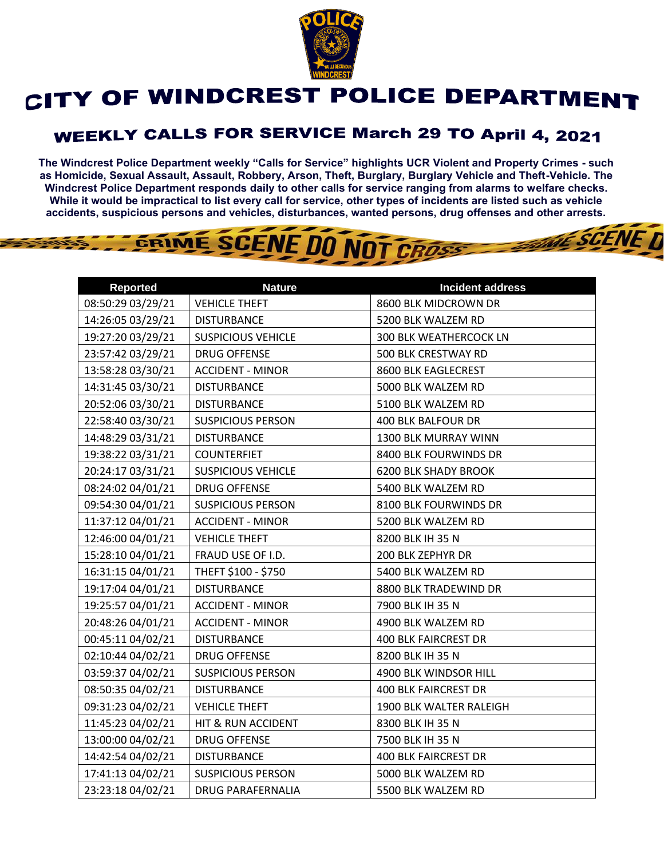

## CITY OF WINDCREST POLICE DEPARTMENT

## **WEEKLY CALLS FOR SERVICE March 29 TO April 4, 2021**

**The Windcrest Police Department weekly "Calls for Service" highlights UCR Violent and Property Crimes - such as Homicide, Sexual Assault, Assault, Robbery, Arson, Theft, Burglary, Burglary Vehicle and Theft-Vehicle. The Windcrest Police Department responds daily to other calls for service ranging from alarms to welfare checks. While it would be impractical to list every call for service, other types of incidents are listed such as vehicle accidents, suspicious persons and vehicles, disturbances, wanted persons, drug offenses and other arrests.** 

**THE SCENE T** 

## GRIME SCENE DO NOT CROSS

| <b>Reported</b>   | <b>Nature</b>             | <b>Incident address</b>     |
|-------------------|---------------------------|-----------------------------|
| 08:50:29 03/29/21 | <b>VEHICLE THEFT</b>      | 8600 BLK MIDCROWN DR        |
| 14:26:05 03/29/21 | <b>DISTURBANCE</b>        | 5200 BLK WALZEM RD          |
| 19:27:20 03/29/21 | <b>SUSPICIOUS VEHICLE</b> | 300 BLK WEATHERCOCK LN      |
| 23:57:42 03/29/21 | <b>DRUG OFFENSE</b>       | 500 BLK CRESTWAY RD         |
| 13:58:28 03/30/21 | <b>ACCIDENT - MINOR</b>   | 8600 BLK EAGLECREST         |
| 14:31:45 03/30/21 | <b>DISTURBANCE</b>        | 5000 BLK WALZEM RD          |
| 20:52:06 03/30/21 | <b>DISTURBANCE</b>        | 5100 BLK WALZEM RD          |
| 22:58:40 03/30/21 | <b>SUSPICIOUS PERSON</b>  | 400 BLK BALFOUR DR          |
| 14:48:29 03/31/21 | <b>DISTURBANCE</b>        | 1300 BLK MURRAY WINN        |
| 19:38:22 03/31/21 | <b>COUNTERFIET</b>        | 8400 BLK FOURWINDS DR       |
| 20:24:17 03/31/21 | <b>SUSPICIOUS VEHICLE</b> | <b>6200 BLK SHADY BROOK</b> |
| 08:24:02 04/01/21 | <b>DRUG OFFENSE</b>       | 5400 BLK WALZEM RD          |
| 09:54:30 04/01/21 | <b>SUSPICIOUS PERSON</b>  | 8100 BLK FOURWINDS DR       |
| 11:37:12 04/01/21 | <b>ACCIDENT - MINOR</b>   | 5200 BLK WALZEM RD          |
| 12:46:00 04/01/21 | <b>VEHICLE THEFT</b>      | 8200 BLK IH 35 N            |
| 15:28:10 04/01/21 | FRAUD USE OF I.D.         | 200 BLK ZEPHYR DR           |
| 16:31:15 04/01/21 | THEFT \$100 - \$750       | 5400 BLK WALZEM RD          |
| 19:17:04 04/01/21 | <b>DISTURBANCE</b>        | 8800 BLK TRADEWIND DR       |
| 19:25:57 04/01/21 | <b>ACCIDENT - MINOR</b>   | 7900 BLK IH 35 N            |
| 20:48:26 04/01/21 | <b>ACCIDENT - MINOR</b>   | 4900 BLK WALZEM RD          |
| 00:45:11 04/02/21 | <b>DISTURBANCE</b>        | <b>400 BLK FAIRCREST DR</b> |
| 02:10:44 04/02/21 | <b>DRUG OFFENSE</b>       | 8200 BLK IH 35 N            |
| 03:59:37 04/02/21 | <b>SUSPICIOUS PERSON</b>  | 4900 BLK WINDSOR HILL       |
| 08:50:35 04/02/21 | <b>DISTURBANCE</b>        | <b>400 BLK FAIRCREST DR</b> |
| 09:31:23 04/02/21 | <b>VEHICLE THEFT</b>      | 1900 BLK WALTER RALEIGH     |
| 11:45:23 04/02/21 | HIT & RUN ACCIDENT        | 8300 BLK IH 35 N            |
| 13:00:00 04/02/21 | <b>DRUG OFFENSE</b>       | 7500 BLK IH 35 N            |
| 14:42:54 04/02/21 | <b>DISTURBANCE</b>        | <b>400 BLK FAIRCREST DR</b> |
| 17:41:13 04/02/21 | <b>SUSPICIOUS PERSON</b>  | 5000 BLK WALZEM RD          |
| 23:23:18 04/02/21 | <b>DRUG PARAFERNALIA</b>  | 5500 BLK WALZEM RD          |